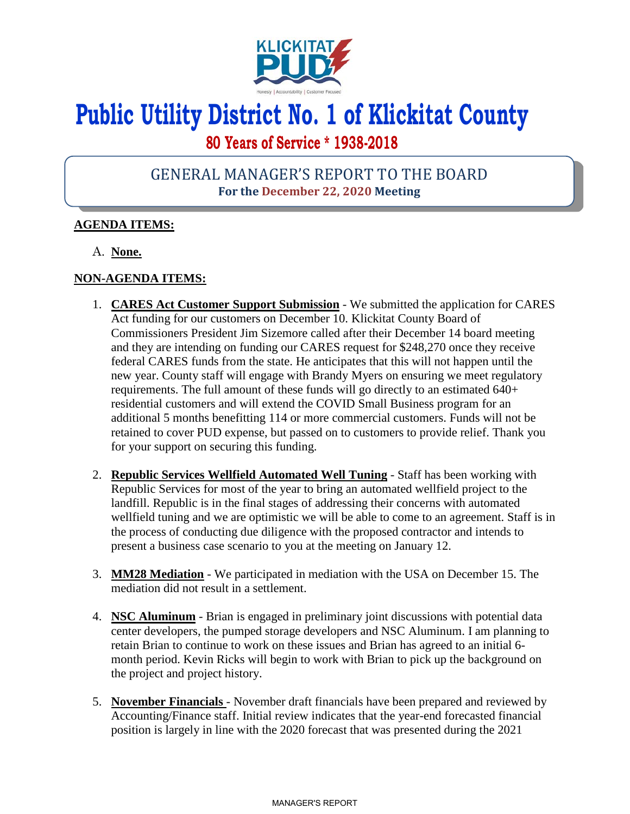

# **Public Utility District No. 1 of Klickitat County**

# **80 Years of Service \* 1938-2018**

## GENERAL MANAGER'S REPORT TO THE BOARD **For the December 22, 2020 Meeting**

### **AGENDA ITEMS:**

A. **None.**

### **NON-AGENDA ITEMS:**

- 1. **CARES Act Customer Support Submission** We submitted the application for CARES Act funding for our customers on December 10. Klickitat County Board of Commissioners President Jim Sizemore called after their December 14 board meeting and they are intending on funding our CARES request for \$248,270 once they receive federal CARES funds from the state. He anticipates that this will not happen until the new year. County staff will engage with Brandy Myers on ensuring we meet regulatory requirements. The full amount of these funds will go directly to an estimated 640+ residential customers and will extend the COVID Small Business program for an additional 5 months benefitting 114 or more commercial customers. Funds will not be retained to cover PUD expense, but passed on to customers to provide relief. Thank you for your support on securing this funding.
- 2. **Republic Services Wellfield Automated Well Tuning** Staff has been working with Republic Services for most of the year to bring an automated wellfield project to the landfill. Republic is in the final stages of addressing their concerns with automated wellfield tuning and we are optimistic we will be able to come to an agreement. Staff is in the process of conducting due diligence with the proposed contractor and intends to present a business case scenario to you at the meeting on January 12.
- 3. **MM28 Mediation** We participated in mediation with the USA on December 15. The mediation did not result in a settlement.
- 4. **NSC Aluminum** Brian is engaged in preliminary joint discussions with potential data center developers, the pumped storage developers and NSC Aluminum. I am planning to retain Brian to continue to work on these issues and Brian has agreed to an initial 6 month period. Kevin Ricks will begin to work with Brian to pick up the background on the project and project history.
- 5. **November Financials**  November draft financials have been prepared and reviewed by Accounting/Finance staff. Initial review indicates that the year-end forecasted financial position is largely in line with the 2020 forecast that was presented during the 2021